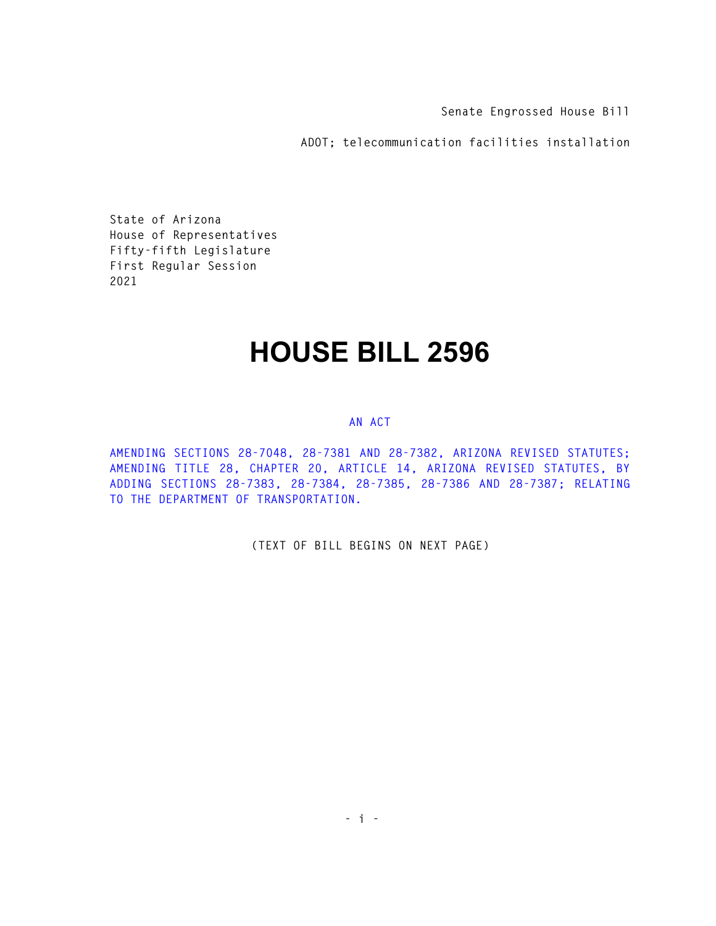**Senate Engrossed House Bill** 

**ADOT; telecommunication facilities installation** 

**State of Arizona House of Representatives Fifty-fifth Legislature First Regular Session 2021** 

## **HOUSE BILL 2596**

## **AN ACT**

**AMENDING SECTIONS 28-7048, 28-7381 AND 28-7382, ARIZONA REVISED STATUTES; AMENDING TITLE 28, CHAPTER 20, ARTICLE 14, ARIZONA REVISED STATUTES, BY ADDING SECTIONS 28-7383, 28-7384, 28-7385, 28-7386 AND 28-7387; RELATING TO THE DEPARTMENT OF TRANSPORTATION.** 

**(TEXT OF BILL BEGINS ON NEXT PAGE)**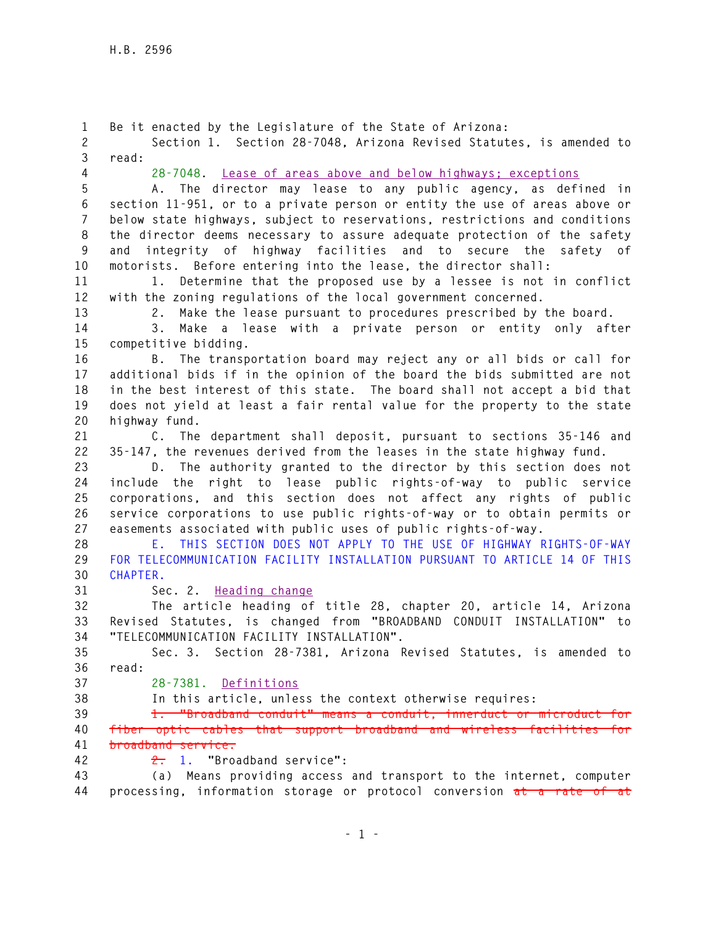**1 Be it enacted by the Legislature of the State of Arizona: 2 Section 1. Section 28-7048, Arizona Revised Statutes, is amended to 3 read: 4 28-7048. Lease of areas above and below highways; exceptions 5 A. The director may lease to any public agency, as defined in 6 section 11-951, or to a private person or entity the use of areas above or 7 below state highways, subject to reservations, restrictions and conditions 8 the director deems necessary to assure adequate protection of the safety 9 and integrity of highway facilities and to secure the safety of 10 motorists. Before entering into the lease, the director shall: 11 1. Determine that the proposed use by a lessee is not in conflict 12 with the zoning regulations of the local government concerned. 13 2. Make the lease pursuant to procedures prescribed by the board. 14 3. Make a lease with a private person or entity only after 15 competitive bidding. 16 B. The transportation board may reject any or all bids or call for 17 additional bids if in the opinion of the board the bids submitted are not 18 in the best interest of this state. The board shall not accept a bid that 19 does not yield at least a fair rental value for the property to the state 20 highway fund. 21 C. The department shall deposit, pursuant to sections 35-146 and 22 35-147, the revenues derived from the leases in the state highway fund. 23 D. The authority granted to the director by this section does not 24 include the right to lease public rights-of-way to public service 25 corporations, and this section does not affect any rights of public 26 service corporations to use public rights-of-way or to obtain permits or 27 easements associated with public uses of public rights-of-way. 28 E. THIS SECTION DOES NOT APPLY TO THE USE OF HIGHWAY RIGHTS-OF-WAY 29 FOR TELECOMMUNICATION FACILITY INSTALLATION PURSUANT TO ARTICLE 14 OF THIS 30 CHAPTER. 31 Sec. 2. Heading change 32 The article heading of title 28, chapter 20, article 14, Arizona 33 Revised Statutes, is changed from "BROADBAND CONDUIT INSTALLATION" to 34 "TELECOMMUNICATION FACILITY INSTALLATION". 35 Sec. 3. Section 28-7381, Arizona Revised Statutes, is amended to 36 read: 37 28-7381. Definitions 38 In this article, unless the context otherwise requires: 39 1. "Broadband conduit" means a conduit, innerduct or microduct for 40 fiber optic cables that support broadband and wireless facilities for 41 broadband service. 42 2. 1. "Broadband service": 43 (a) Means providing access and transport to the internet, computer 44 processing, information storage or protocol conversion at a rate of at**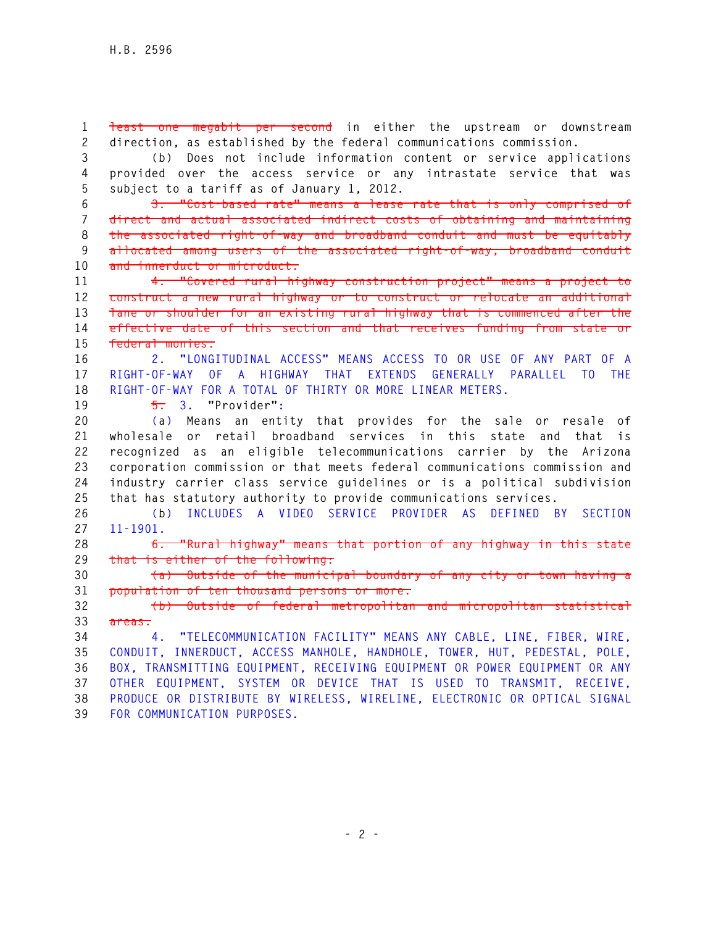**1 least one megabit per second in either the upstream or downstream 2 direction, as established by the federal communications commission.** 

**3 (b) Does not include information content or service applications 4 provided over the access service or any intrastate service that was 5 subject to a tariff as of January 1, 2012.** 

**6 3. "Cost-based rate" means a lease rate that is only comprised of 7 direct and actual associated indirect costs of obtaining and maintaining 8 the associated right-of-way and broadband conduit and must be equitably 9 allocated among users of the associated right-of-way, broadband conduit 10 and innerduct or microduct.** 

**11 4. "Covered rural highway construction project" means a project to 12 construct a new rural highway or to construct or relocate an additional 13 lane or shoulder for an existing rural highway that is commenced after the 14 effective date of this section and that receives funding from state or 15 federal monies.** 

**16 2. "LONGITUDINAL ACCESS" MEANS ACCESS TO OR USE OF ANY PART OF A 17 RIGHT-OF-WAY OF A HIGHWAY THAT EXTENDS GENERALLY PARALLEL TO THE 18 RIGHT-OF-WAY FOR A TOTAL OF THIRTY OR MORE LINEAR METERS.** 

**19 5. 3. "Provider":** 

**20 (a) Means an entity that provides for the sale or resale of 21 wholesale or retail broadband services in this state and that is 22 recognized as an eligible telecommunications carrier by the Arizona 23 corporation commission or that meets federal communications commission and 24 industry carrier class service guidelines or is a political subdivision 25 that has statutory authority to provide communications services.** 

**26 (b) INCLUDES A VIDEO SERVICE PROVIDER AS DEFINED BY SECTION 27 11-1901.** 

**28 6. "Rural highway" means that portion of any highway in this state 29 that is either of the following:** 

**30 (a) Outside of the municipal boundary of any city or town having a 31 population of ten thousand persons or more.** 

**32 (b) Outside of federal metropolitan and micropolitan statistical 33 areas.** 

**34 4. "TELECOMMUNICATION FACILITY" MEANS ANY CABLE, LINE, FIBER, WIRE, 35 CONDUIT, INNERDUCT, ACCESS MANHOLE, HANDHOLE, TOWER, HUT, PEDESTAL, POLE, 36 BOX, TRANSMITTING EQUIPMENT, RECEIVING EQUIPMENT OR POWER EQUIPMENT OR ANY 37 OTHER EQUIPMENT, SYSTEM OR DEVICE THAT IS USED TO TRANSMIT, RECEIVE, 38 PRODUCE OR DISTRIBUTE BY WIRELESS, WIRELINE, ELECTRONIC OR OPTICAL SIGNAL 39 FOR COMMUNICATION PURPOSES.**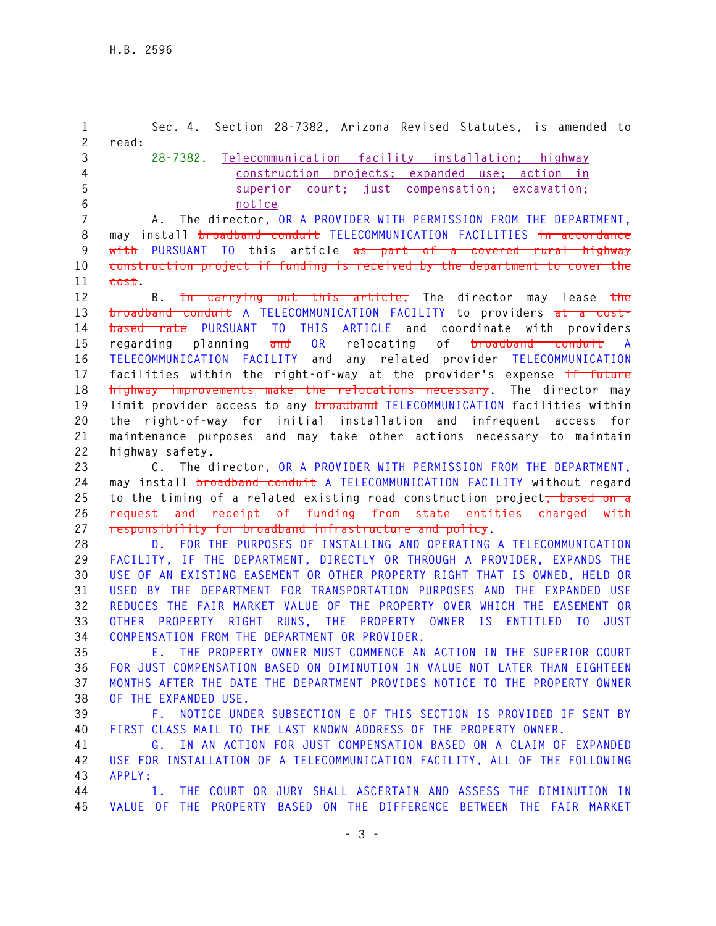**1 Sec. 4. Section 28-7382, Arizona Revised Statutes, is amended to 2 read: 3 28-7382. Telecommunication facility installation; highway 4 construction projects; expanded use; action in 5 superior court; just compensation; excavation; 6 notice 7 A. The director, OR A PROVIDER WITH PERMISSION FROM THE DEPARTMENT, 8 may install broadband conduit TELECOMMUNICATION FACILITIES in accordance 9 with PURSUANT TO this article as part of a covered rural highway 10 construction project if funding is received by the department to cover the 11 cost. 12 B. In carrying out this article, The director may lease the 13 broadband conduit A TELECOMMUNICATION FACILITY to providers at a cost-14 based rate PURSUANT TO THIS ARTICLE and coordinate with providers 15 regarding planning and OR relocating of broadband conduit A 16 TELECOMMUNICATION FACILITY and any related provider TELECOMMUNICATION 17 facilities within the right-of-way at the provider's expense if future 18 highway improvements make the relocations necessary. The director may 19 limit provider access to any broadband TELECOMMUNICATION facilities within 20 the right-of-way for initial installation and infrequent access for 21 maintenance purposes and may take other actions necessary to maintain 22 highway safety. 23 C. The director, OR A PROVIDER WITH PERMISSION FROM THE DEPARTMENT, 24 may install broadband conduit A TELECOMMUNICATION FACILITY without regard 25 to the timing of a related existing road construction project, based on a 26 request and receipt of funding from state entities charged with 27 responsibility for broadband infrastructure and policy. 28 D. FOR THE PURPOSES OF INSTALLING AND OPERATING A TELECOMMUNICATION 29 FACILITY, IF THE DEPARTMENT, DIRECTLY OR THROUGH A PROVIDER, EXPANDS THE 30 USE OF AN EXISTING EASEMENT OR OTHER PROPERTY RIGHT THAT IS OWNED, HELD OR 31 USED BY THE DEPARTMENT FOR TRANSPORTATION PURPOSES AND THE EXPANDED USE 32 REDUCES THE FAIR MARKET VALUE OF THE PROPERTY OVER WHICH THE EASEMENT OR 33 OTHER PROPERTY RIGHT RUNS, THE PROPERTY OWNER IS ENTITLED TO JUST 34 COMPENSATION FROM THE DEPARTMENT OR PROVIDER. 35 E. THE PROPERTY OWNER MUST COMMENCE AN ACTION IN THE SUPERIOR COURT 36 FOR JUST COMPENSATION BASED ON DIMINUTION IN VALUE NOT LATER THAN EIGHTEEN 37 MONTHS AFTER THE DATE THE DEPARTMENT PROVIDES NOTICE TO THE PROPERTY OWNER 38 OF THE EXPANDED USE. 39 F. NOTICE UNDER SUBSECTION E OF THIS SECTION IS PROVIDED IF SENT BY 40 FIRST CLASS MAIL TO THE LAST KNOWN ADDRESS OF THE PROPERTY OWNER. 41 G. IN AN ACTION FOR JUST COMPENSATION BASED ON A CLAIM OF EXPANDED 42 USE FOR INSTALLATION OF A TELECOMMUNICATION FACILITY, ALL OF THE FOLLOWING 43 APPLY: 44 1. THE COURT OR JURY SHALL ASCERTAIN AND ASSESS THE DIMINUTION IN 45 VALUE OF THE PROPERTY BASED ON THE DIFFERENCE BETWEEN THE FAIR MARKET**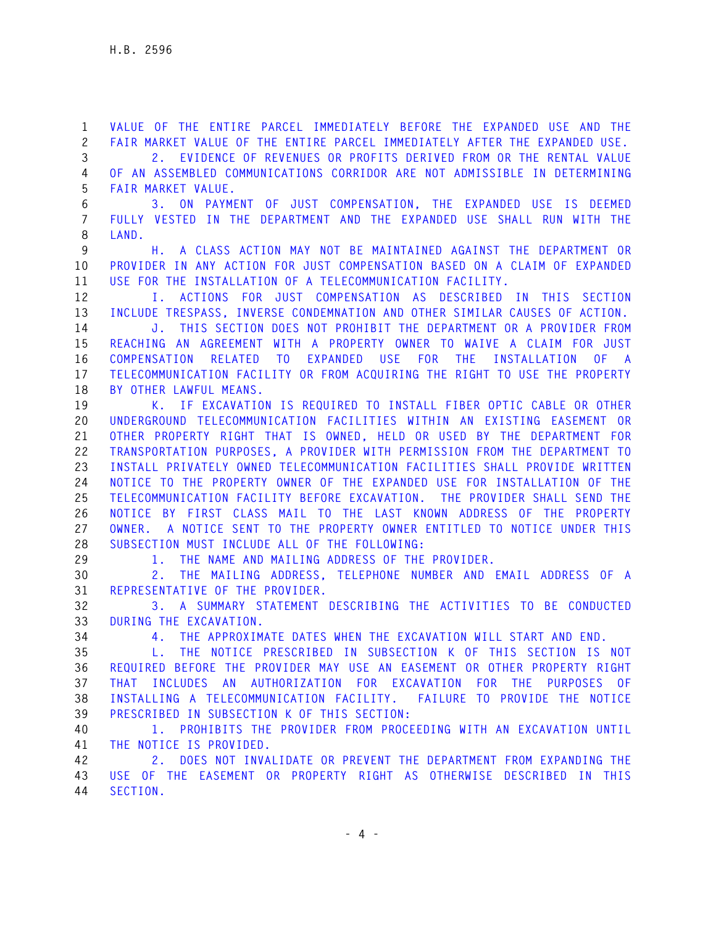**1 VALUE OF THE ENTIRE PARCEL IMMEDIATELY BEFORE THE EXPANDED USE AND THE 2 FAIR MARKET VALUE OF THE ENTIRE PARCEL IMMEDIATELY AFTER THE EXPANDED USE.** 

**3 2. EVIDENCE OF REVENUES OR PROFITS DERIVED FROM OR THE RENTAL VALUE 4 OF AN ASSEMBLED COMMUNICATIONS CORRIDOR ARE NOT ADMISSIBLE IN DETERMINING 5 FAIR MARKET VALUE.** 

**6 3. ON PAYMENT OF JUST COMPENSATION, THE EXPANDED USE IS DEEMED 7 FULLY VESTED IN THE DEPARTMENT AND THE EXPANDED USE SHALL RUN WITH THE 8 LAND.** 

**9 H. A CLASS ACTION MAY NOT BE MAINTAINED AGAINST THE DEPARTMENT OR 10 PROVIDER IN ANY ACTION FOR JUST COMPENSATION BASED ON A CLAIM OF EXPANDED 11 USE FOR THE INSTALLATION OF A TELECOMMUNICATION FACILITY.** 

**12 I. ACTIONS FOR JUST COMPENSATION AS DESCRIBED IN THIS SECTION 13 INCLUDE TRESPASS, INVERSE CONDEMNATION AND OTHER SIMILAR CAUSES OF ACTION.** 

**14 J. THIS SECTION DOES NOT PROHIBIT THE DEPARTMENT OR A PROVIDER FROM 15 REACHING AN AGREEMENT WITH A PROPERTY OWNER TO WAIVE A CLAIM FOR JUST 16 COMPENSATION RELATED TO EXPANDED USE FOR THE INSTALLATION OF A 17 TELECOMMUNICATION FACILITY OR FROM ACQUIRING THE RIGHT TO USE THE PROPERTY 18 BY OTHER LAWFUL MEANS.** 

**19 K. IF EXCAVATION IS REQUIRED TO INSTALL FIBER OPTIC CABLE OR OTHER 20 UNDERGROUND TELECOMMUNICATION FACILITIES WITHIN AN EXISTING EASEMENT OR 21 OTHER PROPERTY RIGHT THAT IS OWNED, HELD OR USED BY THE DEPARTMENT FOR 22 TRANSPORTATION PURPOSES, A PROVIDER WITH PERMISSION FROM THE DEPARTMENT TO 23 INSTALL PRIVATELY OWNED TELECOMMUNICATION FACILITIES SHALL PROVIDE WRITTEN 24 NOTICE TO THE PROPERTY OWNER OF THE EXPANDED USE FOR INSTALLATION OF THE 25 TELECOMMUNICATION FACILITY BEFORE EXCAVATION. THE PROVIDER SHALL SEND THE 26 NOTICE BY FIRST CLASS MAIL TO THE LAST KNOWN ADDRESS OF THE PROPERTY 27 OWNER. A NOTICE SENT TO THE PROPERTY OWNER ENTITLED TO NOTICE UNDER THIS 28 SUBSECTION MUST INCLUDE ALL OF THE FOLLOWING:** 

**29 1. THE NAME AND MAILING ADDRESS OF THE PROVIDER.** 

**30 2. THE MAILING ADDRESS, TELEPHONE NUMBER AND EMAIL ADDRESS OF A 31 REPRESENTATIVE OF THE PROVIDER.** 

**32 3. A SUMMARY STATEMENT DESCRIBING THE ACTIVITIES TO BE CONDUCTED 33 DURING THE EXCAVATION.** 

**34 4. THE APPROXIMATE DATES WHEN THE EXCAVATION WILL START AND END.** 

**35 L. THE NOTICE PRESCRIBED IN SUBSECTION K OF THIS SECTION IS NOT 36 REQUIRED BEFORE THE PROVIDER MAY USE AN EASEMENT OR OTHER PROPERTY RIGHT 37 THAT INCLUDES AN AUTHORIZATION FOR EXCAVATION FOR THE PURPOSES OF 38 INSTALLING A TELECOMMUNICATION FACILITY. FAILURE TO PROVIDE THE NOTICE 39 PRESCRIBED IN SUBSECTION K OF THIS SECTION:** 

**40 1. PROHIBITS THE PROVIDER FROM PROCEEDING WITH AN EXCAVATION UNTIL 41 THE NOTICE IS PROVIDED.** 

**42 2. DOES NOT INVALIDATE OR PREVENT THE DEPARTMENT FROM EXPANDING THE 43 USE OF THE EASEMENT OR PROPERTY RIGHT AS OTHERWISE DESCRIBED IN THIS 44 SECTION.**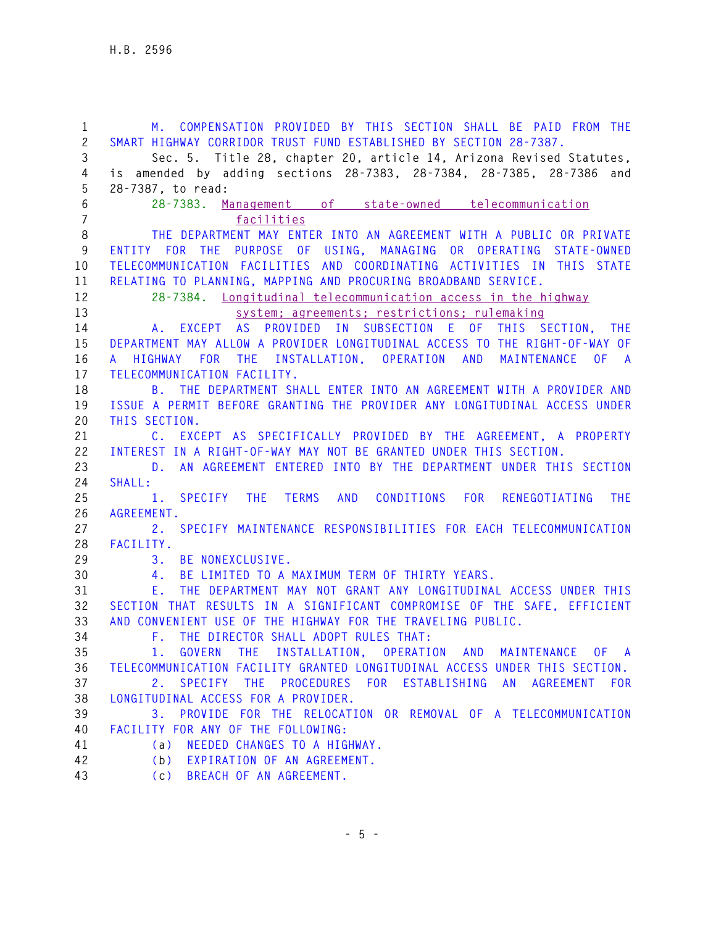**1 M. COMPENSATION PROVIDED BY THIS SECTION SHALL BE PAID FROM THE 2 SMART HIGHWAY CORRIDOR TRUST FUND ESTABLISHED BY SECTION 28-7387. 3 Sec. 5. Title 28, chapter 20, article 14, Arizona Revised Statutes, 4 is amended by adding sections 28-7383, 28-7384, 28-7385, 28-7386 and 5 28-7387, to read: 6 28-7383. Management of state-owned telecommunication 7 facilities 8 THE DEPARTMENT MAY ENTER INTO AN AGREEMENT WITH A PUBLIC OR PRIVATE 9 ENTITY FOR THE PURPOSE OF USING, MANAGING OR OPERATING STATE-OWNED 10 TELECOMMUNICATION FACILITIES AND COORDINATING ACTIVITIES IN THIS STATE 11 RELATING TO PLANNING, MAPPING AND PROCURING BROADBAND SERVICE. 12 28-7384. Longitudinal telecommunication access in the highway 13 system; agreements; restrictions; rulemaking 14 A. EXCEPT AS PROVIDED IN SUBSECTION E OF THIS SECTION, THE 15 DEPARTMENT MAY ALLOW A PROVIDER LONGITUDINAL ACCESS TO THE RIGHT-OF-WAY OF 16 A HIGHWAY FOR THE INSTALLATION, OPERATION AND MAINTENANCE OF A 17 TELECOMMUNICATION FACILITY. 18 B. THE DEPARTMENT SHALL ENTER INTO AN AGREEMENT WITH A PROVIDER AND 19 ISSUE A PERMIT BEFORE GRANTING THE PROVIDER ANY LONGITUDINAL ACCESS UNDER 20 THIS SECTION. 21 C. EXCEPT AS SPECIFICALLY PROVIDED BY THE AGREEMENT, A PROPERTY 22 INTEREST IN A RIGHT-OF-WAY MAY NOT BE GRANTED UNDER THIS SECTION. 23 D. AN AGREEMENT ENTERED INTO BY THE DEPARTMENT UNDER THIS SECTION 24 SHALL: 25 1. SPECIFY THE TERMS AND CONDITIONS FOR RENEGOTIATING THE 26 AGREEMENT. 27 2. SPECIFY MAINTENANCE RESPONSIBILITIES FOR EACH TELECOMMUNICATION 28 FACILITY. 29 3. BE NONEXCLUSIVE. 30 4. BE LIMITED TO A MAXIMUM TERM OF THIRTY YEARS. 31 E. THE DEPARTMENT MAY NOT GRANT ANY LONGITUDINAL ACCESS UNDER THIS 32 SECTION THAT RESULTS IN A SIGNIFICANT COMPROMISE OF THE SAFE, EFFICIENT 33 AND CONVENIENT USE OF THE HIGHWAY FOR THE TRAVELING PUBLIC. 34 F. THE DIRECTOR SHALL ADOPT RULES THAT: 35 1. GOVERN THE INSTALLATION, OPERATION AND MAINTENANCE OF A 36 TELECOMMUNICATION FACILITY GRANTED LONGITUDINAL ACCESS UNDER THIS SECTION. 37 2. SPECIFY THE PROCEDURES FOR ESTABLISHING AN AGREEMENT FOR 38 LONGITUDINAL ACCESS FOR A PROVIDER. 39 3. PROVIDE FOR THE RELOCATION OR REMOVAL OF A TELECOMMUNICATION 40 FACILITY FOR ANY OF THE FOLLOWING: 41 (a) NEEDED CHANGES TO A HIGHWAY. 42 (b) EXPIRATION OF AN AGREEMENT. 43 (c) BREACH OF AN AGREEMENT.**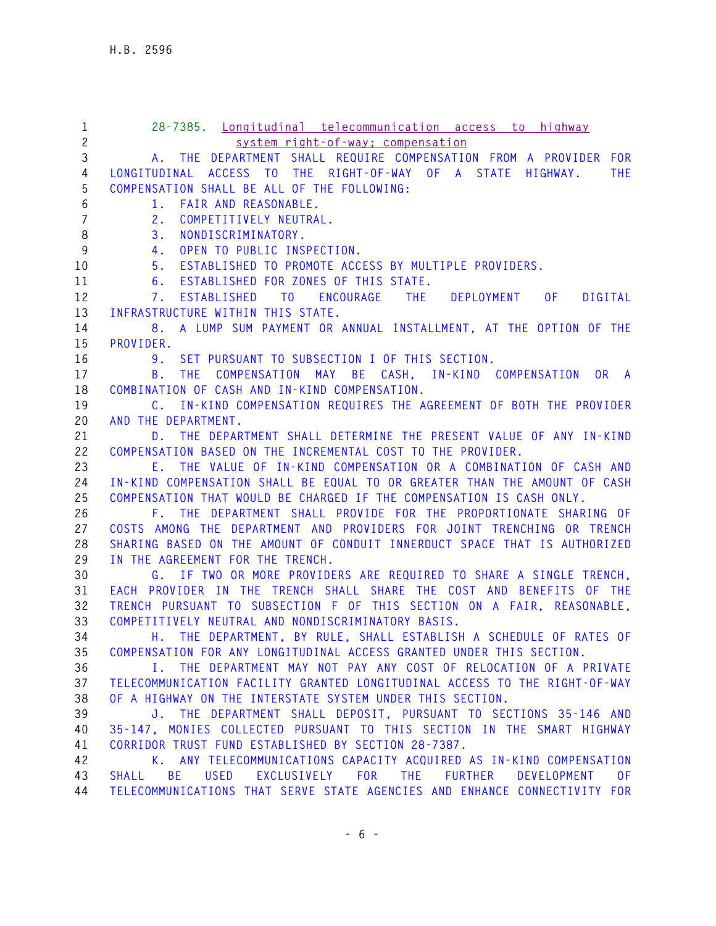| $\mathbf{1}$<br>$\overline{c}$ | 28-7385. Longitudinal telecommunication access to highway<br>system right-of-way; compensation |
|--------------------------------|------------------------------------------------------------------------------------------------|
| 3                              | A. THE DEPARTMENT SHALL REQUIRE COMPENSATION FROM A PROVIDER FOR                               |
| 4                              | LONGITUDINAL ACCESS TO THE RIGHT-OF-WAY OF A STATE<br>HIGHWAY.<br>THE.                         |
| 5                              | COMPENSATION SHALL BE ALL OF THE FOLLOWING:                                                    |
| 6                              | 1. FAIR AND REASONABLE.                                                                        |
| $\overline{7}$                 | COMPETITIVELY NEUTRAL.<br>2.                                                                   |
| 8                              | 3.<br>NONDISCRIMINATORY.                                                                       |
| $\boldsymbol{9}$               | OPEN TO PUBLIC INSPECTION.<br>4.                                                               |
| 10                             | ESTABLISHED TO PROMOTE ACCESS BY MULTIPLE PROVIDERS.<br>5.                                     |
| 11                             | ESTABLISHED FOR ZONES OF THIS STATE.<br>6.                                                     |
| 12                             | TO ENCOURAGE THE DEPLOYMENT OF<br><b>DIGITAL</b><br>ESTABLISHED<br>7.                          |
|                                |                                                                                                |
| 13                             | INFRASTRUCTURE WITHIN THIS STATE.                                                              |
| 14<br>15                       | 8. A LUMP SUM PAYMENT OR ANNUAL INSTALLMENT, AT THE OPTION OF THE<br>PROVIDER.                 |
| 16                             | SET PURSUANT TO SUBSECTION I OF THIS SECTION.<br>9.                                            |
| 17                             | COMPENSATION MAY BE CASH, IN-KIND COMPENSATION OR A<br>THE.<br>B.                              |
| 18                             | COMBINATION OF CASH AND IN-KIND COMPENSATION.                                                  |
| 19                             | C. IN-KIND COMPENSATION REQUIRES THE AGREEMENT OF BOTH THE PROVIDER                            |
| 20                             | AND THE DEPARTMENT.                                                                            |
| 21                             | D. THE DEPARTMENT SHALL DETERMINE THE PRESENT VALUE OF ANY IN-KIND                             |
| 22                             | COMPENSATION BASED ON THE INCREMENTAL COST TO THE PROVIDER.                                    |
| 23                             | E. THE VALUE OF IN-KIND COMPENSATION OR A COMBINATION OF CASH AND                              |
| 24                             | IN-KIND COMPENSATION SHALL BE EQUAL TO OR GREATER THAN THE AMOUNT OF CASH                      |
| 25                             | COMPENSATION THAT WOULD BE CHARGED IF THE COMPENSATION IS CASH ONLY.                           |
| 26                             | F. THE DEPARTMENT SHALL PROVIDE FOR THE PROPORTIONATE SHARING OF                               |
| 27                             | COSTS AMONG THE DEPARTMENT AND PROVIDERS FOR JOINT TRENCHING OR TRENCH                         |
| 28                             | SHARING BASED ON THE AMOUNT OF CONDUIT INNERDUCT SPACE THAT IS AUTHORIZED                      |
| 29                             | IN THE AGREEMENT FOR THE TRENCH.                                                               |
| 30                             | G. IF TWO OR MORE PROVIDERS ARE REQUIRED TO SHARE A SINGLE TRENCH,                             |
| 31                             | EACH PROVIDER IN THE TRENCH SHALL SHARE THE COST AND BENEFITS OF THE                           |
| 32                             | TRENCH PURSUANT TO SUBSECTION F OF THIS SECTION ON A FAIR, REASONABLE,                         |
| 33                             | COMPETITIVELY NEUTRAL AND NONDISCRIMINATORY BASIS.                                             |
| 34                             | H. THE DEPARTMENT, BY RULE, SHALL ESTABLISH A SCHEDULE OF RATES OF                             |
| 35                             | COMPENSATION FOR ANY LONGITUDINAL ACCESS GRANTED UNDER THIS SECTION.                           |
| 36                             | I. THE DEPARTMENT MAY NOT PAY ANY COST OF RELOCATION OF A PRIVATE                              |
| 37                             | TELECOMMUNICATION FACILITY GRANTED LONGITUDINAL ACCESS TO THE RIGHT-OF-WAY                     |
| 38                             | OF A HIGHWAY ON THE INTERSTATE SYSTEM UNDER THIS SECTION.                                      |
| 39                             | J. THE DEPARTMENT SHALL DEPOSIT, PURSUANT TO SECTIONS 35-146 AND                               |
| 40                             | 35-147, MONIES COLLECTED PURSUANT TO THIS SECTION IN THE SMART HIGHWAY                         |
| 41                             | CORRIDOR TRUST FUND ESTABLISHED BY SECTION 28-7387.                                            |
| 42                             | K. ANY TELECOMMUNICATIONS CAPACITY ACQUIRED AS IN-KIND COMPENSATION                            |
| 43                             | BE USED EXCLUSIVELY FOR THE FURTHER<br>DEVELOPMENT<br>SHALL<br>0F                              |
| 44                             | TELECOMMUNICATIONS THAT SERVE STATE AGENCIES AND ENHANCE CONNECTIVITY FOR                      |
|                                |                                                                                                |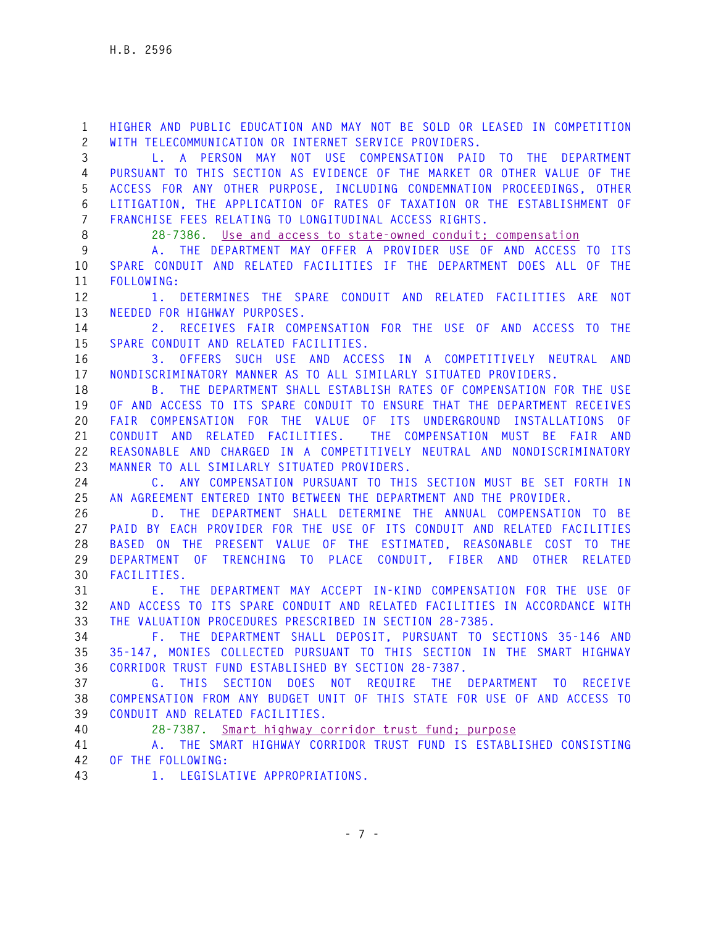**1 HIGHER AND PUBLIC EDUCATION AND MAY NOT BE SOLD OR LEASED IN COMPETITION 2 WITH TELECOMMUNICATION OR INTERNET SERVICE PROVIDERS. 3 L. A PERSON MAY NOT USE COMPENSATION PAID TO THE DEPARTMENT 4 PURSUANT TO THIS SECTION AS EVIDENCE OF THE MARKET OR OTHER VALUE OF THE 5 ACCESS FOR ANY OTHER PURPOSE, INCLUDING CONDEMNATION PROCEEDINGS, OTHER 6 LITIGATION, THE APPLICATION OF RATES OF TAXATION OR THE ESTABLISHMENT OF 7 FRANCHISE FEES RELATING TO LONGITUDINAL ACCESS RIGHTS. 8 28-7386. Use and access to state-owned conduit; compensation 9 A. THE DEPARTMENT MAY OFFER A PROVIDER USE OF AND ACCESS TO ITS 10 SPARE CONDUIT AND RELATED FACILITIES IF THE DEPARTMENT DOES ALL OF THE 11 FOLLOWING: 12 1. DETERMINES THE SPARE CONDUIT AND RELATED FACILITIES ARE NOT 13 NEEDED FOR HIGHWAY PURPOSES. 14 2. RECEIVES FAIR COMPENSATION FOR THE USE OF AND ACCESS TO THE 15 SPARE CONDUIT AND RELATED FACILITIES. 16 3. OFFERS SUCH USE AND ACCESS IN A COMPETITIVELY NEUTRAL AND 17 NONDISCRIMINATORY MANNER AS TO ALL SIMILARLY SITUATED PROVIDERS. 18 B. THE DEPARTMENT SHALL ESTABLISH RATES OF COMPENSATION FOR THE USE 19 OF AND ACCESS TO ITS SPARE CONDUIT TO ENSURE THAT THE DEPARTMENT RECEIVES 20 FAIR COMPENSATION FOR THE VALUE OF ITS UNDERGROUND INSTALLATIONS OF 21 CONDUIT AND RELATED FACILITIES. THE COMPENSATION MUST BE FAIR AND 22 REASONABLE AND CHARGED IN A COMPETITIVELY NEUTRAL AND NONDISCRIMINATORY 23 MANNER TO ALL SIMILARLY SITUATED PROVIDERS. 24 C. ANY COMPENSATION PURSUANT TO THIS SECTION MUST BE SET FORTH IN 25 AN AGREEMENT ENTERED INTO BETWEEN THE DEPARTMENT AND THE PROVIDER. 26 D. THE DEPARTMENT SHALL DETERMINE THE ANNUAL COMPENSATION TO BE 27 PAID BY EACH PROVIDER FOR THE USE OF ITS CONDUIT AND RELATED FACILITIES 28 BASED ON THE PRESENT VALUE OF THE ESTIMATED, REASONABLE COST TO THE 29 DEPARTMENT OF TRENCHING TO PLACE CONDUIT, FIBER AND OTHER RELATED 30 FACILITIES. 31 E. THE DEPARTMENT MAY ACCEPT IN-KIND COMPENSATION FOR THE USE OF 32 AND ACCESS TO ITS SPARE CONDUIT AND RELATED FACILITIES IN ACCORDANCE WITH 33 THE VALUATION PROCEDURES PRESCRIBED IN SECTION 28-7385. 34 F. THE DEPARTMENT SHALL DEPOSIT, PURSUANT TO SECTIONS 35-146 AND 35 35-147, MONIES COLLECTED PURSUANT TO THIS SECTION IN THE SMART HIGHWAY 36 CORRIDOR TRUST FUND ESTABLISHED BY SECTION 28-7387. 37 G. THIS SECTION DOES NOT REQUIRE THE DEPARTMENT TO RECEIVE 38 COMPENSATION FROM ANY BUDGET UNIT OF THIS STATE FOR USE OF AND ACCESS TO 39 CONDUIT AND RELATED FACILITIES. 40 28-7387. Smart highway corridor trust fund; purpose 41 A. THE SMART HIGHWAY CORRIDOR TRUST FUND IS ESTABLISHED CONSISTING 42 OF THE FOLLOWING: 43 1. LEGISLATIVE APPROPRIATIONS.**